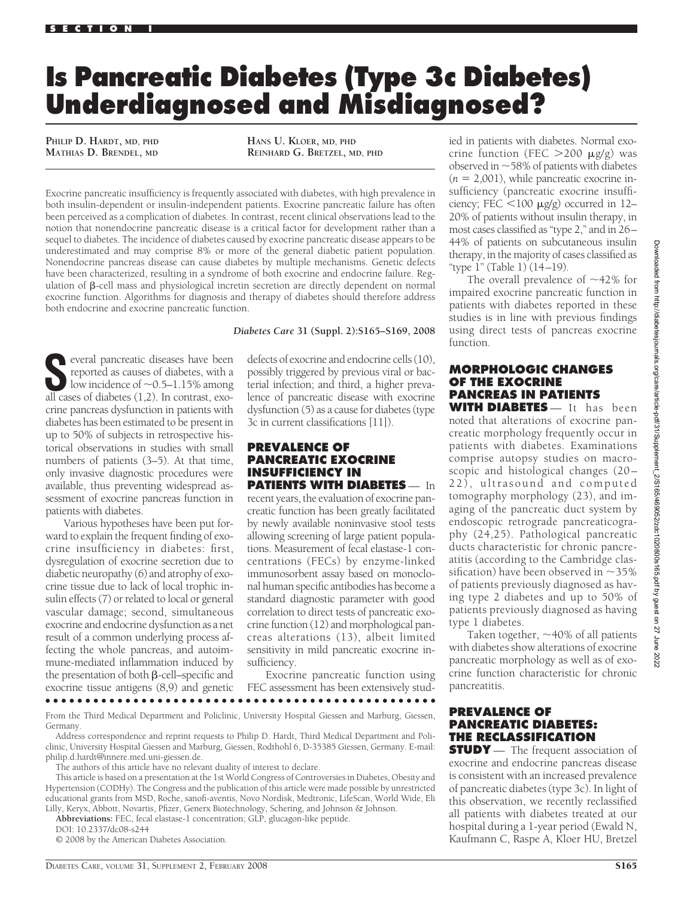# **Is Pancreatic Diabetes (Type 3c Diabetes) Underdiagnosed and Misdiagnosed?**

**PHILIP D. HARDT, MD, PHD MATHIAS D. BRENDEL, MD** **HANS U. KLOER, MD, PHD REINHARD G. BRETZEL, MD, PHD**

Exocrine pancreatic insufficiency is frequently associated with diabetes, with high prevalence in both insulin-dependent or insulin-independent patients. Exocrine pancreatic failure has often been perceived as a complication of diabetes. In contrast, recent clinical observations lead to the notion that nonendocrine pancreatic disease is a critical factor for development rather than a sequel to diabetes. The incidence of diabetes caused by exocrine pancreatic disease appears to be underestimated and may comprise 8% or more of the general diabetic patient population. Nonendocrine pancreas disease can cause diabetes by multiple mechanisms. Genetic defects have been characterized, resulting in a syndrome of both exocrine and endocrine failure. Regulation of  $\beta$ -cell mass and physiological incretin secretion are directly dependent on normal exocrine function. Algorithms for diagnosis and therapy of diabetes should therefore address both endocrine and exocrine pancreatic function.

**S**everal pancreatic diseases have been reported as causes of diabetes, with a low incidence of  $\sim$  0.5–1.15% among all cases of diabetes (1,2). In contrast, exocrine pancreas dysfunction in patients with diabetes has been estimated to be present in up to 50% of subjects in retrospective historical observations in studies with small numbers of patients (3–5). At that time, only invasive diagnostic procedures were available, thus preventing widespread assessment of exocrine pancreas function in patients with diabetes.

Various hypotheses have been put forward to explain the frequent finding of exocrine insufficiency in diabetes: first, dysregulation of exocrine secretion due to diabetic neuropathy (6) and atrophy of exocrine tissue due to lack of local trophic insulin effects (7) or related to local or general vascular damage; second, simultaneous exocrine and endocrine dysfunction as a net result of a common underlying process affecting the whole pancreas, and autoimmune-mediated inflammation induced by the presentation of both  $\beta$ -cell–specific and exocrine tissue antigens (8,9) and genetic

#### *Diabetes Care* **31 (Suppl. 2):S165–S169, 2008**

defects of exocrine and endocrine cells (10), possibly triggered by previous viral or bacterial infection; and third, a higher prevalence of pancreatic disease with exocrine dysfunction (5) as a cause for diabetes (type 3c in current classifications [11]).

### **PREVALENCE OF PANCREATIC EXOCRINE INSUFFICIENCY IN PATIENTS WITH DIABETES** — In

recent years, the evaluation of exocrine pancreatic function has been greatly facilitated by newly available noninvasive stool tests allowing screening of large patient populations. Measurement of fecal elastase-1 concentrations (FECs) by enzyme-linked immunosorbent assay based on monoclonal human specific antibodies has become a standard diagnostic parameter with good correlation to direct tests of pancreatic exocrine function (12) and morphological pancreas alterations (13), albeit limited sensitivity in mild pancreatic exocrine insufficiency.

Exocrine pancreatic function using FEC assessment has been extensively stud-

#### ●●●●●●●●●●●●●●●●●●●●●●●●●●●●●●●●●●●●●●●●●●●●●●●●●

From the Third Medical Department and Policlinic, University Hospital Giessen and Marburg, Giessen, Germany.

Address correspondence and reprint requests to Philip D. Hardt, Third Medical Department and Policlinic, University Hospital Giessen and Marburg, Giessen, Rodthohl 6, D-35385 Giessen, Germany. E-mail: philip.d.hardt@innere.med.uni-giessen.de.

The authors of this article have no relevant duality of interest to declare.

This article is based on a presentation at the 1st World Congress of Controversies in Diabetes, Obesity and Hypertension (CODHy). The Congress and the publication of this article were made possible by unrestricted educational grants from MSD, Roche, sanofi-aventis, Novo Nordisk, Medtronic, LifeScan, World Wide, Eli Lilly, Keryx, Abbott, Novartis, Pfizer, Generx Biotechnology, Schering, and Johnson & Johnson.

**Abbreviations:** FEC, fecal elastase-1 concentration; GLP, glucagon-like peptide.

DOI: 10.2337/dc08-s244

© 2008 by the American Diabetes Association.

ied in patients with diabetes. Normal exocrine function (FEC  $>200 \mu g/g$ ) was observed in  $\sim$  58% of patients with diabetes  $(n = 2,001)$ , while pancreatic exocrine insufficiency (pancreatic exocrine insufficiency; FEC  $\leq$ 100  $\mu$ g/g) occurred in 12– 20% of patients without insulin therapy, in most cases classified as "type 2," and in 26 – 44% of patients on subcutaneous insulin therapy, in the majority of cases classified as "type 1" (Table 1) (14 –19).

The overall prevalence of  $~1$ 2% for impaired exocrine pancreatic function in patients with diabetes reported in these studies is in line with previous findings using direct tests of pancreas exocrine function.

## **MORPHOLOGIC CHANGES OF THE EXOCRINE PANCREAS IN PATIENTS WITH DIABETES** — It has been

noted that alterations of exocrine pancreatic morphology frequently occur in patients with diabetes. Examinations comprise autopsy studies on macroscopic and histological changes (20 – 22), ultrasound and computed tomography morphology (23), and imaging of the pancreatic duct system by endoscopic retrograde pancreaticography (24,25). Pathological pancreatic ducts characteristic for chronic pancreatitis (according to the Cambridge classification) have been observed in  ${\sim}35\%$ of patients previously diagnosed as having type 2 diabetes and up to 50% of patients previously diagnosed as having type 1 diabetes.

Taken together,  ${\sim}40\%$  of all patients with diabetes show alterations of exocrine pancreatic morphology as well as of exocrine function characteristic for chronic pancreatitis.

## **PREVALENCE OF PANCREATIC DIABETES: THE RECLASSIFICATION**

**STUDY** — The frequent association of exocrine and endocrine pancreas disease is consistent with an increased prevalence of pancreatic diabetes (type 3c). In light of this observation, we recently reclassified all patients with diabetes treated at our hospital during a 1-year period (Ewald N, Kaufmann C, Raspe A, Kloer HU, Bretzel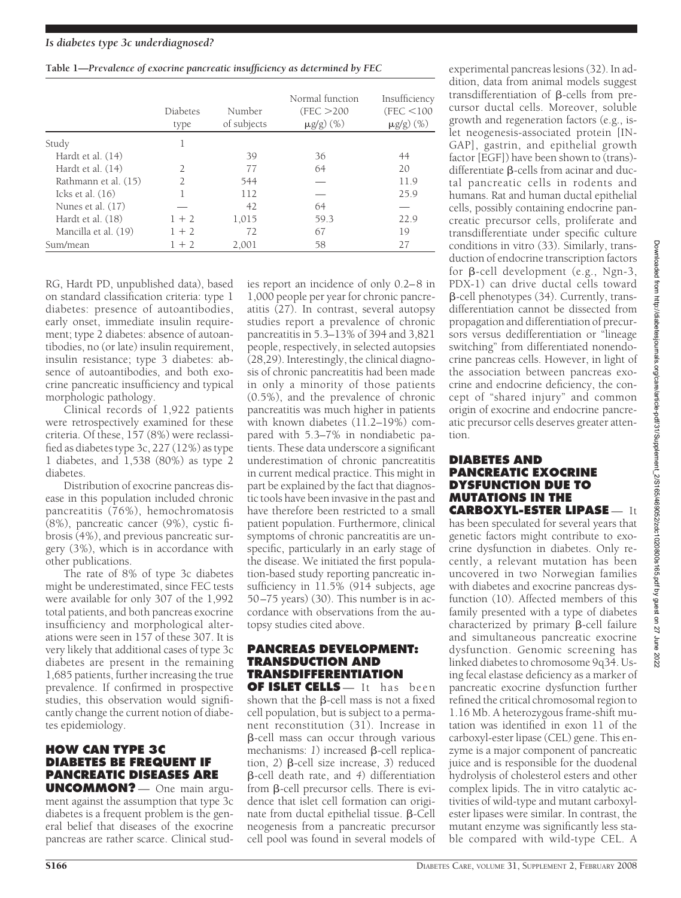|  |  |  |  |  | Table 1-Prevalence of exocrine pancreatic insufficiency as determined by FEC |  |
|--|--|--|--|--|------------------------------------------------------------------------------|--|
|  |  |  |  |  |                                                                              |  |

|                      | Diabetes<br>type | Number<br>of subjects | Normal function<br>(FEC > 200<br>$\mu$ g/g) (%) | Insufficiency<br>(FEC < 100<br>$\mu$ g/g) (%) |
|----------------------|------------------|-----------------------|-------------------------------------------------|-----------------------------------------------|
| Study                |                  |                       |                                                 |                                               |
| Hardt et al. (14)    |                  | 39                    | 36                                              | 44                                            |
| Hardt et al. (14)    |                  | 77                    | 64                                              | 20                                            |
| Rathmann et al. (15) |                  | 544                   |                                                 | 11.9                                          |
| Icks et al. $(16)$   |                  | 112                   |                                                 | 25.9                                          |
| Nunes et al. (17)    |                  | 42                    | 64                                              |                                               |
| Hardt et al. (18)    | $1 + 2$          | 1,015                 | 59.3                                            | 22.9                                          |
| Mancilla et al. (19) | $1 + 2$          | 72                    | 67                                              | 19                                            |
| Sum/mean             | $1 + 2$          | 2,001                 | 58                                              | 27                                            |

RG, Hardt PD, unpublished data), based on standard classification criteria: type 1 diabetes: presence of autoantibodies, early onset, immediate insulin requirement; type 2 diabetes: absence of autoantibodies, no (or late) insulin requirement, insulin resistance; type 3 diabetes: absence of autoantibodies, and both exocrine pancreatic insufficiency and typical morphologic pathology.

Clinical records of 1,922 patients were retrospectively examined for these criteria. Of these, 157 (8%) were reclassified as diabetes type 3c, 227 (12%) as type 1 diabetes, and 1,538 (80%) as type 2 diabetes.

Distribution of exocrine pancreas disease in this population included chronic pancreatitis (76%), hemochromatosis (8%), pancreatic cancer (9%), cystic fibrosis (4%), and previous pancreatic surgery (3%), which is in accordance with other publications.

The rate of 8% of type 3c diabetes might be underestimated, since FEC tests were available for only 307 of the 1,992 total patients, and both pancreas exocrine insufficiency and morphological alterations were seen in 157 of these 307. It is very likely that additional cases of type 3c diabetes are present in the remaining 1,685 patients, further increasing the true prevalence. If confirmed in prospective studies, this observation would significantly change the current notion of diabetes epidemiology.

## **HOW CAN TYPE 3C DIABETES BE FREQUENT IF PANCREATIC DISEASES ARE**

**UNCOMMON?** — One main argument against the assumption that type 3c diabetes is a frequent problem is the general belief that diseases of the exocrine pancreas are rather scarce. Clinical stud-

ies report an incidence of only 0.2–8 in 1,000 people per year for chronic pancreatitis (27). In contrast, several autopsy studies report a prevalence of chronic pancreatitis in 5.3–13% of 394 and 3,821 people, respectively, in selected autopsies (28,29). Interestingly, the clinical diagnosis of chronic pancreatitis had been made in only a minority of those patients (0.5%), and the prevalence of chronic pancreatitis was much higher in patients with known diabetes  $(11.2-19\%)$  compared with 5.3–7% in nondiabetic patients. These data underscore a significant underestimation of chronic pancreatitis in current medical practice. This might in part be explained by the fact that diagnostic tools have been invasive in the past and have therefore been restricted to a small patient population. Furthermore, clinical symptoms of chronic pancreatitis are unspecific, particularly in an early stage of the disease. We initiated the first population-based study reporting pancreatic insufficiency in 11.5% (914 subjects, age 50 –75 years) (30). This number is in accordance with observations from the autopsy studies cited above.

## **PANCREAS DEVELOPMENT: TRANSDUCTION AND TRANSDIFFERENTIATION**

**OF ISLET CELLS** — It has been shown that the  $\beta$ -cell mass is not a fixed cell population, but is subject to a permanent reconstitution (31). Increase in -cell mass can occur through various mechanisms: 1) increased  $\beta$ -cell replication, 2) **B**-cell size increase, 3) reduced -cell death rate, and *4*) differentiation from  $\beta$ -cell precursor cells. There is evidence that islet cell formation can originate from ductal epithelial tissue.  $\beta$ -Cell neogenesis from a pancreatic precursor cell pool was found in several models of

experimental pancreas lesions (32). In addition, data from animal models suggest transdifferentiation of  $\beta$ -cells from precursor ductal cells. Moreover, soluble growth and regeneration factors (e.g., islet neogenesis-associated protein [IN-GAP], gastrin, and epithelial growth factor  $[\overline{EGF}]$ ) have been shown to  $(\overline{trans})$ differentiate  $\beta$ -cells from acinar and ductal pancreatic cells in rodents and humans. Rat and human ductal epithelial cells, possibly containing endocrine pancreatic precursor cells, proliferate and transdifferentiate under specific culture conditions in vitro (33). Similarly, transduction of endocrine transcription factors for  $\beta$ -cell development (e.g., Ngn-3, PDX-1) can drive ductal cells toward  $\beta$ -cell phenotypes (34). Currently, transdifferentiation cannot be dissected from propagation and differentiation of precursors versus dedifferentiation or "lineage switching" from differentiated nonendocrine pancreas cells. However, in light of the association between pancreas exocrine and endocrine deficiency, the concept of "shared injury" and common origin of exocrine and endocrine pancreatic precursor cells deserves greater attention.

## **DIABETES AND PANCREATIC EXOCRINE DYSFUNCTION DUE TO MUTATIONS IN THE CARBOXYL-ESTER LIPASE** — It

has been speculated for several years that genetic factors might contribute to exocrine dysfunction in diabetes. Only recently, a relevant mutation has been uncovered in two Norwegian families with diabetes and exocrine pancreas dysfunction (10). Affected members of this family presented with a type of diabetes characterized by primary  $\beta$ -cell failure and simultaneous pancreatic exocrine dysfunction. Genomic screening has linked diabetes to chromosome 9q34. Using fecal elastase deficiency as a marker of pancreatic exocrine dysfunction further refined the critical chromosomal region to 1.16 Mb. A heterozygous frame-shift mutation was identified in exon 11 of the carboxyl-ester lipase (CEL) gene. This enzyme is a major component of pancreatic juice and is responsible for the duodenal hydrolysis of cholesterol esters and other complex lipids. The in vitro catalytic activities of wild-type and mutant carboxylester lipases were similar. In contrast, the mutant enzyme was significantly less stable compared with wild-type CEL. A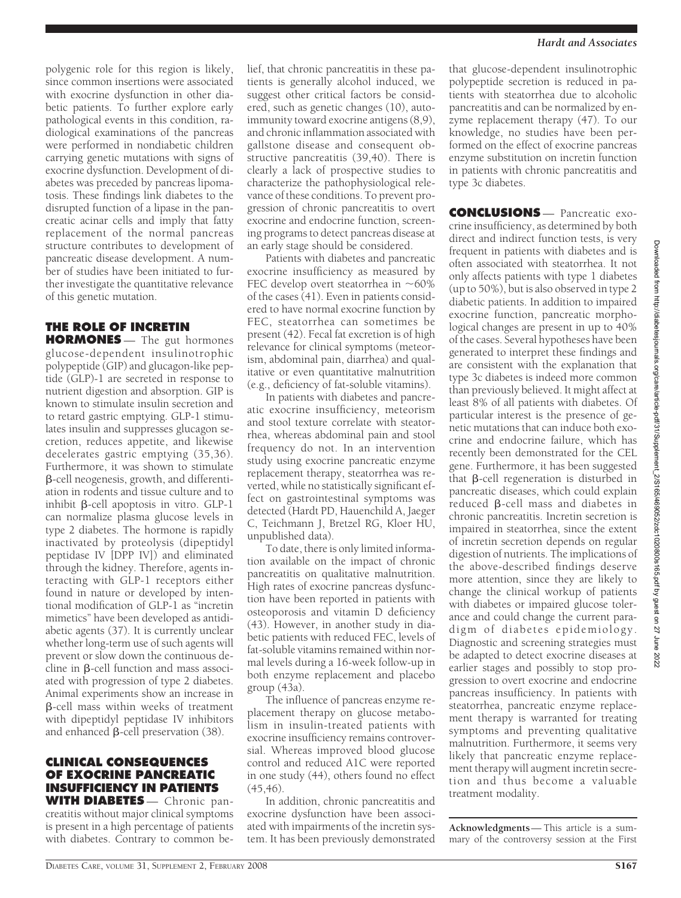polygenic role for this region is likely, since common insertions were associated with exocrine dysfunction in other diabetic patients. To further explore early pathological events in this condition, radiological examinations of the pancreas were performed in nondiabetic children carrying genetic mutations with signs of exocrine dysfunction. Development of diabetes was preceded by pancreas lipomatosis. These findings link diabetes to the disrupted function of a lipase in the pancreatic acinar cells and imply that fatty replacement of the normal pancreas structure contributes to development of pancreatic disease development. A number of studies have been initiated to further investigate the quantitative relevance of this genetic mutation.

## **THE ROLE OF INCRETIN**

**HORMONES** — The gut hormones glucose-dependent insulinotrophic polypeptide (GIP) and glucagon-like peptide (GLP)-1 are secreted in response to nutrient digestion and absorption. GIP is known to stimulate insulin secretion and to retard gastric emptying. GLP-1 stimulates insulin and suppresses glucagon secretion, reduces appetite, and likewise decelerates gastric emptying (35,36). Furthermore, it was shown to stimulate -cell neogenesis, growth, and differentiation in rodents and tissue culture and to inhibit  $\beta$ -cell apoptosis in vitro. GLP-1 can normalize plasma glucose levels in type 2 diabetes. The hormone is rapidly inactivated by proteolysis (dipeptidyl peptidase IV [DPP IV]) and eliminated through the kidney. Therefore, agents interacting with GLP-1 receptors either found in nature or developed by intentional modification of GLP-1 as "incretin mimetics" have been developed as antidiabetic agents (37). It is currently unclear whether long-term use of such agents will prevent or slow down the continuous decline in  $\beta$ -cell function and mass associated with progression of type 2 diabetes. Animal experiments show an increase in -cell mass within weeks of treatment with dipeptidyl peptidase IV inhibitors and enhanced  $\beta$ -cell preservation (38).

## **CLINICAL CONSEQUENCES OF EXOCRINE PANCREATIC INSUFFICIENCY IN PATIENTS WITH DIABETES** — Chronic pan-

creatitis without major clinical symptoms is present in a high percentage of patients with diabetes. Contrary to common be-

lief, that chronic pancreatitis in these patients is generally alcohol induced, we suggest other critical factors be considered, such as genetic changes (10), autoimmunity toward exocrine antigens (8,9), and chronic inflammation associated with gallstone disease and consequent obstructive pancreatitis (39,40). There is clearly a lack of prospective studies to characterize the pathophysiological relevance of these conditions. To prevent progression of chronic pancreatitis to overt exocrine and endocrine function, screening programs to detect pancreas disease at an early stage should be considered.

Patients with diabetes and pancreatic exocrine insufficiency as measured by FEC develop overt steatorrhea in  $~1$ 60% of the cases (41). Even in patients considered to have normal exocrine function by FEC, steatorrhea can sometimes be present (42). Fecal fat excretion is of high relevance for clinical symptoms (meteorism, abdominal pain, diarrhea) and qualitative or even quantitative malnutrition (e.g., deficiency of fat-soluble vitamins).

In patients with diabetes and pancreatic exocrine insufficiency, meteorism and stool texture correlate with steatorrhea, whereas abdominal pain and stool frequency do not. In an intervention study using exocrine pancreatic enzyme replacement therapy, steatorrhea was reverted, while no statistically significant effect on gastrointestinal symptoms was detected (Hardt PD, Hauenchild A, Jaeger C, Teichmann J, Bretzel RG, Kloer HU, unpublished data).

To date, there is only limited information available on the impact of chronic pancreatitis on qualitative malnutrition. High rates of exocrine pancreas dysfunction have been reported in patients with osteoporosis and vitamin D deficiency (43). However, in another study in diabetic patients with reduced FEC, levels of fat-soluble vitamins remained within normal levels during a 16-week follow-up in both enzyme replacement and placebo group (43a).

The influence of pancreas enzyme replacement therapy on glucose metabolism in insulin-treated patients with exocrine insufficiency remains controversial. Whereas improved blood glucose control and reduced A1C were reported in one study (44), others found no effect (45,46).

In addition, chronic pancreatitis and exocrine dysfunction have been associated with impairments of the incretin system. It has been previously demonstrated

that glucose-dependent insulinotrophic polypeptide secretion is reduced in patients with steatorrhea due to alcoholic pancreatitis and can be normalized by enzyme replacement therapy (47). To our knowledge, no studies have been performed on the effect of exocrine pancreas enzyme substitution on incretin function in patients with chronic pancreatitis and type 3c diabetes.

**CONCLUSIONS** — Pancreatic exocrine insufficiency, as determined by both direct and indirect function tests, is very frequent in patients with diabetes and is often associated with steatorrhea. It not only affects patients with type 1 diabetes (up to 50%), but is also observed in type 2 diabetic patients. In addition to impaired exocrine function, pancreatic morphological changes are present in up to 40% of the cases. Several hypotheses have been generated to interpret these findings and are consistent with the explanation that type 3c diabetes is indeed more common than previously believed. It might affect at least 8% of all patients with diabetes. Of particular interest is the presence of genetic mutations that can induce both exocrine and endocrine failure, which has recently been demonstrated for the CEL gene. Furthermore, it has been suggested that  $\beta$ -cell regeneration is disturbed in pancreatic diseases, which could explain reduced B-cell mass and diabetes in chronic pancreatitis. Incretin secretion is impaired in steatorrhea, since the extent of incretin secretion depends on regular digestion of nutrients. The implications of the above-described findings deserve more attention, since they are likely to change the clinical workup of patients with diabetes or impaired glucose tolerance and could change the current paradigm of diabetes epidemiology. Diagnostic and screening strategies must be adapted to detect exocrine diseases at earlier stages and possibly to stop progression to overt exocrine and endocrine pancreas insufficiency. In patients with steatorrhea, pancreatic enzyme replacement therapy is warranted for treating symptoms and preventing qualitative malnutrition. Furthermore, it seems very likely that pancreatic enzyme replacement therapy will augment incretin secretion and thus become a valuable treatment modality.

**Acknowledgments**— This article is a summary of the controversy session at the First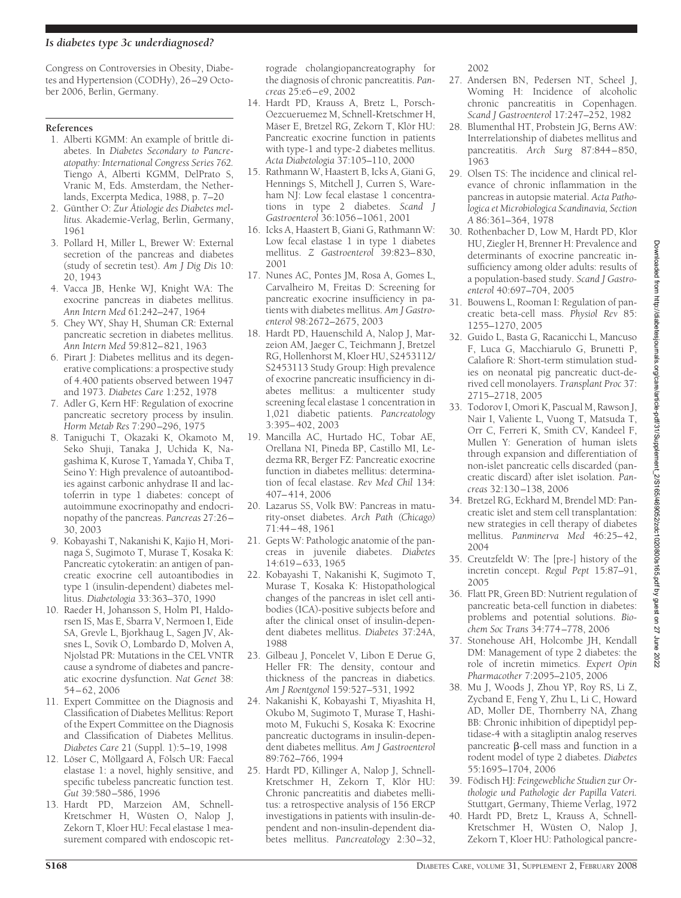## *Is diabetes type 3c underdiagnosed?*

Congress on Controversies in Obesity, Diabetes and Hypertension (CODHy), 26 –29 October 2006, Berlin, Germany.

## **References**

- 1. Alberti KGMM: An example of brittle diabetes. In *Diabetes Secondary to Pancreatopathy: International Congress Series 762.* Tiengo A, Alberti KGMM, DelPrato S, Vranic M, Eds. Amsterdam, the Netherlands, Excerpta Medica, 1988, p. 7–20
- 2. Günther O: Zur Átiologie des Diabetes mel*litus.* Akademie-Verlag, Berlin, Germany, 1961
- 3. Pollard H, Miller L, Brewer W: External secretion of the pancreas and diabetes (study of secretin test). *Am J Dig Dis* 10: 20, 1943
- 4. Vacca JB, Henke WJ, Knight WA: The exocrine pancreas in diabetes mellitus. *Ann Intern Med* 61:242–247, 1964
- 5. Chey WY, Shay H, Shuman CR: External pancreatic secretion in diabetes mellitus. *Ann Intern Med* 59:812– 821, 1963
- 6. Pirart J: Diabetes mellitus and its degenerative complications: a prospective study of 4.400 patients observed between 1947 and 1973. *Diabetes Care* 1:252, 1978
- 7. Adler G, Kern HF: Regulation of exocrine pancreatic secretory process by insulin. *Horm Metab Res* 7:290 –296, 1975
- 8. Taniguchi T, Okazaki K, Okamoto M, Seko Shuji, Tanaka J, Uchida K, Nagashima K, Kurose T, Yamada Y, Chiba T, Seino Y: High prevalence of autoantibodies against carbonic anhydrase II and lactoferrin in type 1 diabetes: concept of autoimmune exocrinopathy and endocrinopathy of the pancreas. *Pancreas* 27:26 – 30, 2003
- 9. Kobayashi T, Nakanishi K, Kajio H, Morinaga S, Sugimoto T, Murase T, Kosaka K: Pancreatic cytokeratin: an antigen of pancreatic exocrine cell autoantibodies in type 1 (insulin-dependent) diabetes mellitus. *Diabetologia* 33:363–370, 1990
- 10. Raeder H, Johansson S, Holm PI, Haldorsen IS, Mas E, Sbarra V, Nermoen I, Eide SA, Grevle L, Bjorkhaug L, Sagen JV, Aksnes L, Sovik O, Lombardo D, Molven A, Njolstad PR: Mutations in the CEL VNTR cause a syndrome of diabetes and pancreatic exocrine dysfunction. *Nat Genet* 38: 54 – 62, 2006
- 11. Expert Committee on the Diagnosis and Classification of Diabetes Mellitus: Report of the Expert Committee on the Diagnosis and Classification of Diabetes Mellitus. *Diabetes Care* 21 (Suppl. 1):5–19, 1998
- 12. Löser C, Möllgaard A, Fölsch UR: Faecal elastase 1: a novel, highly sensitive, and specific tubeless pancreatic function test. *Gut* 39:580 –586, 1996
- 13. Hardt PD, Marzeion AM, Schnell-Kretschmer H, Wüsten O, Nalop J, Zekorn T, Kloer HU: Fecal elastase 1 measurement compared with endoscopic ret-

rograde cholangiopancreatography for the diagnosis of chronic pancreatitis. *Pancreas* 25:e6 – e9, 2002

- 14. Hardt PD, Krauss A, Bretz L, Porsch-Oezcueruemez M, Schnell-Kretschmer H, Mäser E, Bretzel RG, Zekorn T, Klör HU: Pancreatic exocrine function in patients with type-1 and type-2 diabetes mellitus. *Acta Diabetologia* 37:105–110, 2000
- 15. Rathmann W, Haastert B, Icks A, Giani G, Hennings S, Mitchell J, Curren S, Wareham NJ: Low fecal elastase 1 concentrations in type 2 diabetes. *Scand J Gastroenterol* 36:1056 –1061, 2001
- 16. Icks A, Haastert B, Giani G, Rathmann W: Low fecal elastase 1 in type 1 diabetes mellitus. *Z Gastroenterol* 39:823– 830, 2001
- 17. Nunes AC, Pontes JM, Rosa A, Gomes L, Carvalheiro M, Freitas D: Screening for pancreatic exocrine insufficiency in patients with diabetes mellitus. *Am J Gastroenterol* 98:2672–2675, 2003
- 18. Hardt PD, Hauenschild A, Nalop J, Marzeion AM, Jaeger C, Teichmann J, Bretzel RG, Hollenhorst M, Kloer HU, S2453112/ S2453113 Study Group: High prevalence of exocrine pancreatic insufficiency in diabetes mellitus: a multicenter study screening fecal elastase 1 concentration in 1,021 diabetic patients. *Pancreatology* 3:395– 402, 2003
- 19. Mancilla AC, Hurtado HC, Tobar AE, Orellana NI, Pineda BP, Castillo MI, Ledezma RR, Berger FZ: Pancreatic exocrine function in diabetes mellitus: determination of fecal elastase. *Rev Med Chil* 134: 407– 414, 2006
- 20. Lazarus SS, Volk BW: Pancreas in maturity-onset diabetes. *Arch Path (Chicago)* 71:44 – 48, 1961
- 21. Gepts W: Pathologic anatomie of the pancreas in juvenile diabetes. *Diabetes* 14:619 – 633, 1965
- 22. Kobayashi T, Nakanishi K, Sugimoto T, Murase T, Kosaka K: Histopathological changes of the pancreas in islet cell antibodies (ICA)-positive subjects before and after the clinical onset of insulin-dependent diabetes mellitus. *Diabetes* 37:24A, 1988
- 23. Gilbeau J, Poncelet V, Libon E Derue G, Heller FR: The density, contour and thickness of the pancreas in diabetics. *Am J Roentgenol* 159:527–531, 1992
- 24. Nakanishi K, Kobayashi T, Miyashita H, Okubo M, Sugimoto T, Murase T, Hashimoto M, Fukuchi S, Kosaka K: Exocrine pancreatic ductograms in insulin-dependent diabetes mellitus. *Am J Gastroenterol* 89:762–766, 1994
- 25. Hardt PD, Killinger A, Nalop J, Schnell-Kretschmer H, Zekorn T, Klör HU: Chronic pancreatitis and diabetes mellitus: a retrospective analysis of 156 ERCP investigations in patients with insulin-dependent and non-insulin-dependent diabetes mellitus. *Pancreatology* 2:30 –32,

2002

- 27. Andersen BN, Pedersen NT, Scheel J, Woming H: Incidence of alcoholic chronic pancreatitis in Copenhagen. *Scand J Gastroenterol* 17:247–252, 1982
- 28. Blumenthal HT, Probstein JG, Berns AW: Interrelationship of diabetes mellitus and pancreatitis. Arch Surg 87:844-850, 1963
- 29. Olsen TS: The incidence and clinical relevance of chronic inflammation in the pancreas in autopsie material. *Acta Pathologica et Microbiologica Scandinavia, Section A* 86:361–364, 1978
- 30. Rothenbacher D, Low M, Hardt PD, Klor HU, Ziegler H, Brenner H: Prevalence and determinants of exocrine pancreatic insufficiency among older adults: results of a population-based study. *Scand J Gastroenterol* 40:697–704, 2005
- 31. Bouwens L, Rooman I: Regulation of pancreatic beta-cell mass. *Physiol Rev* 85: 1255–1270, 2005
- 32. Guido L, Basta G, Racanicchi L, Mancuso F, Luca G, Macchiarulo G, Brunetti P, Calafiore R: Short-term stimulation studies on neonatal pig pancreatic duct-derived cell monolayers. *Transplant Proc* 37: 2715–2718, 2005
- 33. Todorov I, Omori K, Pascual M, Rawson J, Nair I, Valiente L, Vuong T, Matsuda T, Orr C, Ferreri K, Smith CV, Kandeel F, Mullen Y: Generation of human islets through expansion and differentiation of non-islet pancreatic cells discarded (pancreatic discard) after islet isolation. *Pancreas* 32:130 –138, 2006
- 34. Bretzel RG, Eckhard M, Brendel MD: Pancreatic islet and stem cell transplantation: new strategies in cell therapy of diabetes mellitus. *Panminerva Med* 46:25– 42, 2004
- 35. Creutzfeldt W: The [pre-] history of the incretin concept. *Regul Pept* 15:87–91, 2005
- 36. Flatt PR, Green BD: Nutrient regulation of pancreatic beta-cell function in diabetes: problems and potential solutions. *Biochem Soc Trans* 34:774 –778, 2006
- 37. Stonehouse AH, Holcombe JH, Kendall DM: Management of type 2 diabetes: the role of incretin mimetics. *Expert Opin Pharmacother* 7:2095–2105, 2006
- 38. Mu J, Woods J, Zhou YP, Roy RS, Li Z, Zycband E, Feng Y, Zhu L, Li C, Howard AD, Moller DE, Thornberry NA, Zhang BB: Chronic inhibition of dipeptidyl peptidase-4 with a sitagliptin analog reserves pancreatic  $\beta$ -cell mass and function in a rodent model of type 2 diabetes. *Diabetes* 55:1695–1704, 2006
- 39. Födisch HJ: Feingewebliche Studien zur Or*thologie und Pathologie der Papilla Vateri.* Stuttgart, Germany, Thieme Verlag, 1972
- 40. Hardt PD, Bretz L, Krauss A, Schnell-Kretschmer H, Wüsten O, Nalop J, Zekorn T, Kloer HU: Pathological pancre-